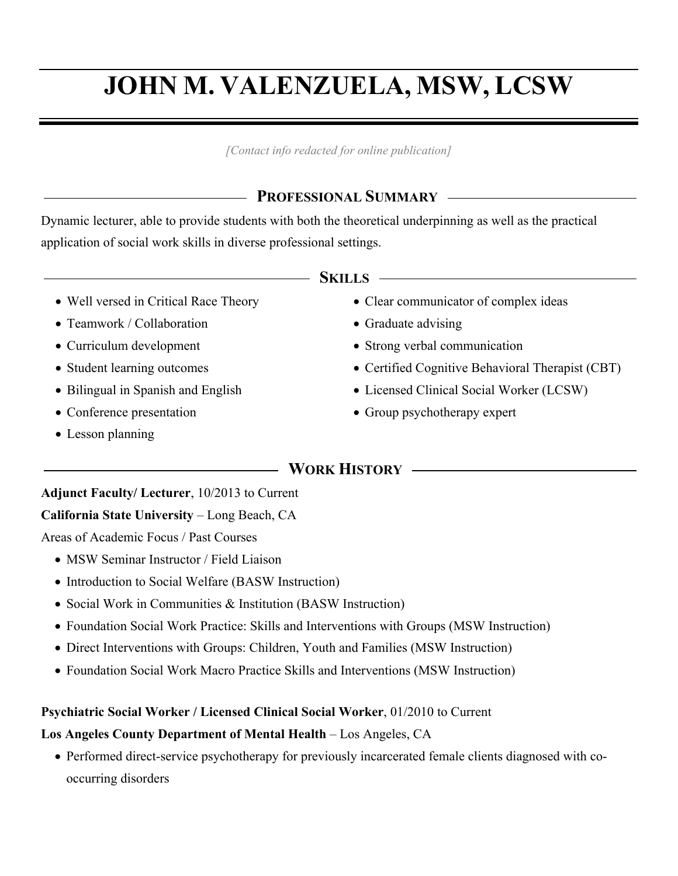# **JOHN M. VALENZUELA, MSW, LCSW**

*[Contact info redacted for online publication]*

# **PROFESSIONAL SUMMARY**

Dynamic lecturer, able to provide students with both the theoretical underpinning as well as the practical application of social work skills in diverse professional settings.

| KILLS |
|-------|
|-------|

- Well versed in Critical Race Theory
- Teamwork / Collaboration
- Curriculum development
- Student learning outcomes
- Bilingual in Spanish and English
- Conference presentation
- Lesson planning
- Clear communicator of complex ideas
- Graduate advising
- Strong verbal communication
- Certified Cognitive Behavioral Therapist (CBT)
- Licensed Clinical Social Worker (LCSW)
- Group psychotherapy expert

# **WORK HISTORY**

# **Adjunct Faculty/ Lecturer**, 10/2013 to Current

## **California State University** – Long Beach, CA

Areas of Academic Focus / Past Courses

- MSW Seminar Instructor / Field Liaison
- Introduction to Social Welfare (BASW Instruction)
- Social Work in Communities & Institution (BASW Instruction)
- Foundation Social Work Practice: Skills and Interventions with Groups (MSW Instruction)
- Direct Interventions with Groups: Children, Youth and Families (MSW Instruction)
- Foundation Social Work Macro Practice Skills and Interventions (MSW Instruction)

## **Psychiatric Social Worker / Licensed Clinical Social Worker**, 01/2010 to Current

## **Los Angeles County Department of Mental Health** – Los Angeles, CA

• Performed direct-service psychotherapy for previously incarcerated female clients diagnosed with cooccurring disorders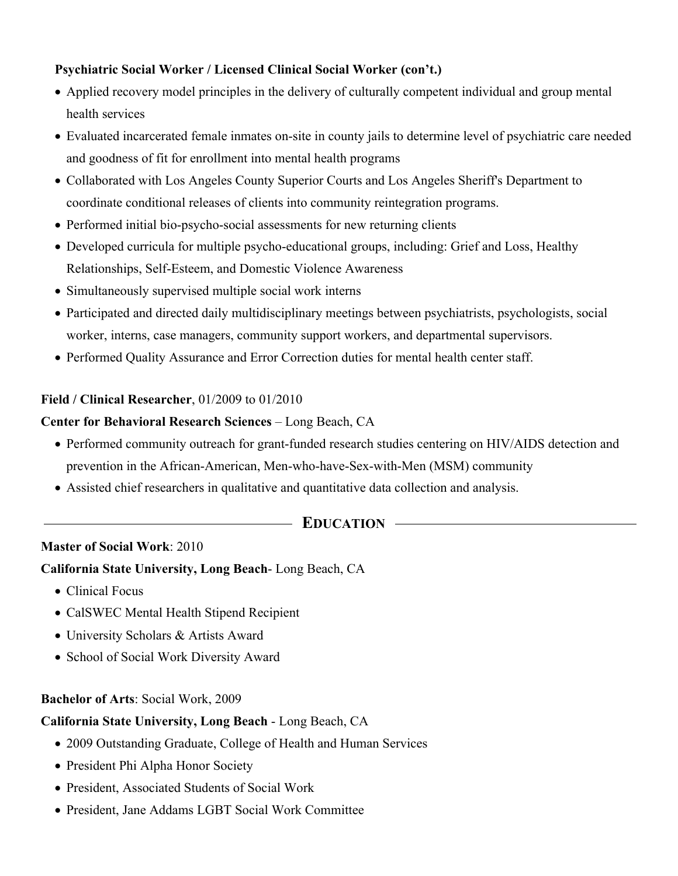#### **Psychiatric Social Worker / Licensed Clinical Social Worker (con't.)**

- Applied recovery model principles in the delivery of culturally competent individual and group mental health services
- Evaluated incarcerated female inmates on-site in county jails to determine level of psychiatric care needed and goodness of fit for enrollment into mental health programs
- Collaborated with Los Angeles County Superior Courts and Los Angeles Sheriff's Department to coordinate conditional releases of clients into community reintegration programs.
- Performed initial bio-psycho-social assessments for new returning clients
- Developed curricula for multiple psycho-educational groups, including: Grief and Loss, Healthy Relationships, Self-Esteem, and Domestic Violence Awareness
- Simultaneously supervised multiple social work interns
- Participated and directed daily multidisciplinary meetings between psychiatrists, psychologists, social worker, interns, case managers, community support workers, and departmental supervisors.
- Performed Quality Assurance and Error Correction duties for mental health center staff.

#### **Field / Clinical Researcher**, 01/2009 to 01/2010

#### **Center for Behavioral Research Sciences** – Long Beach, CA

- Performed community outreach for grant-funded research studies centering on HIV/AIDS detection and prevention in the African-American, Men-who-have-Sex-with-Men (MSM) community
- Assisted chief researchers in qualitative and quantitative data collection and analysis.

#### **EDUCATION**

#### **Master of Social Work**: 2010

#### **California State University, Long Beach**- Long Beach, CA

- Clinical Focus
- CalSWEC Mental Health Stipend Recipient
- University Scholars & Artists Award
- School of Social Work Diversity Award

#### **Bachelor of Arts**: Social Work, 2009

#### **California State University, Long Beach** - Long Beach, CA

- 2009 Outstanding Graduate, College of Health and Human Services
- President Phi Alpha Honor Society
- President, Associated Students of Social Work
- President, Jane Addams LGBT Social Work Committee